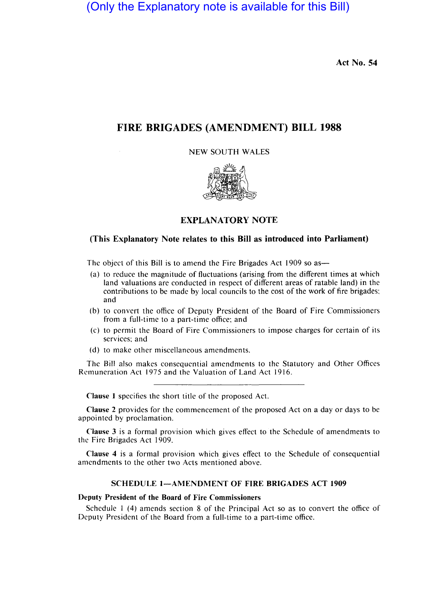(Only the Explanatory note is available for this Bill)

Act No. 54

## FIRE BRIGADES (AMENDMENT) BILL 1988

NEW SOUTH WALES



## EXPLANATORY NOTE

#### (This Explanatory Note relates to this Bill as introduced into Parliament)

The object of this Bill is to amend the Fire Brigades Act 1909 so as—

- (a) to reduce the magnitude of fluctuations (arising from the different times at which land valuations are conducted in respect of different areas of ratable land) in the contributions to be made by local councils to the cost of the work of fire brigades; and
- (b) to convert the office of Deputy President of the Board of Fire Commissioners from a full-time to a part-time office; and
- (c) to permit the Board of Fire Commissioners to impose charges for certain of its services; and
- (d) to make other miscellaneous amendments.

The Bill also makes consequential amendments to the Statutory and Other Offices Remuneration Act 1975 and the Valuation of Land Act 1916.

Clause 1 specifics the short title of the proposed Act.

Clause 2 provides for the commencement of the proposed Act on a day or days to be appointed by proclamation.

Clause 3 is a formal provision which gives effect to the Schedule of amendments to the Fire Brigades Act 1909.

Clause 4 is a formal provision which gives effect to the Schedule of consequential amendments to the other two Acts mentioned above.

### SCHEDULE 1-AMENDMENT OF FIRE BRIGADES ACT 1909

#### Deputy President of the Board of Fire Commissioners

Schedule I (4) amends section 8 of the Principal Act so as to convert the office of Deputy President of the Board from a full-time to a part-time office.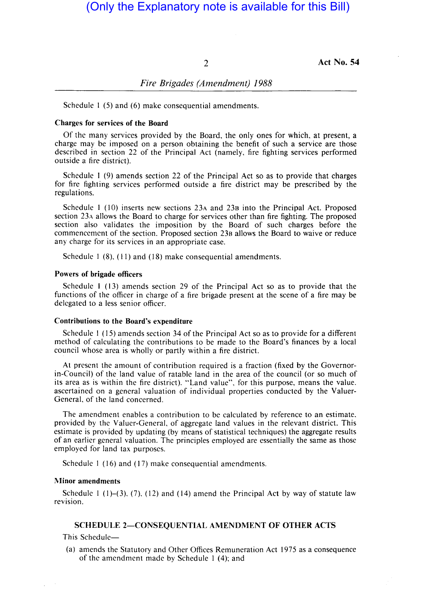2 Act No. 54

## *Fire Brigades (Amendment) 1988*

Schedule 1 (5) and (6) make consequential amendments.

#### Charges for services of the Board

Of the many services provided by the Board, the only ones for which, at present, a charge may be imposed on a person obtaining the benefit of such a service are those described in section 22 of the Principal Act (namely, fire fighting services performed outside a fire district).

Schedule I (9) amends section 22 of the Principal Act so as to provide that charges for fire fighting services performed outside a fire district may be prescribed by the regulations.

Schedule I (10) inserts new sections 23A and 238 into the Principal Act. Proposed section 23A allows the Board to charge for services other than fire fighting. The proposed section also validates the imposition by the Board of such charges before the commencement of the section. Proposed section 238 allows the Board to waive or reduce any charge for its services in an appropriate case.

Schedule 1 (8), (11) and (18) make consequential amendments.

#### Powers of brigade officers

Schedule I (13) amends section 29 of the Principal Act so as to provide that the functions of the officer in charge of a fire brigade present at the scene of a fire may be delegated to a less senior officer.

#### Contributions to the Board's expenditure

Schedule I (15) amends section 34 of the Principal Act so as to provide for a different method of calculating the contributions to be made to the Board's finances by a local council whose area is wholly or partly within a fire district.

At present the amount of contribution required is a fraction (fixed by the Governorin-Council) of the land value of ratable land in the area of the council (or so much of its area as is within the fire district). "Land value", for this purpose, means the value. ascertained on a general valuation of individual properties conducted by the Valuer-General, of the land concerned.

The amendment enables a contribution to be calculated by reference to an estimate, provided by the Valuer-General, of aggregate land values in the relevant district. This estimate is provided by updating (by means of statistical techniques) the aggregate results of an earlier general valuation. The principles employed are essentially the same as those employed for land tax purposes.

Schedule 1 (16) and (17) make consequential amendments.

#### Minor amendments

Schedule  $1(1)-(3)$ ,  $(7)$ ,  $(12)$  and  $(14)$  amend the Principal Act by way of statute law revision.

#### SCHEDULE 2-CONSEQUENTIAL AMENDMENT OF OTHER ACTS

This Schedule-

(a) amends the Statutory and Other Offices Remuneration Act 1975 as a consequence of the amendment made by Schedule I (4); and